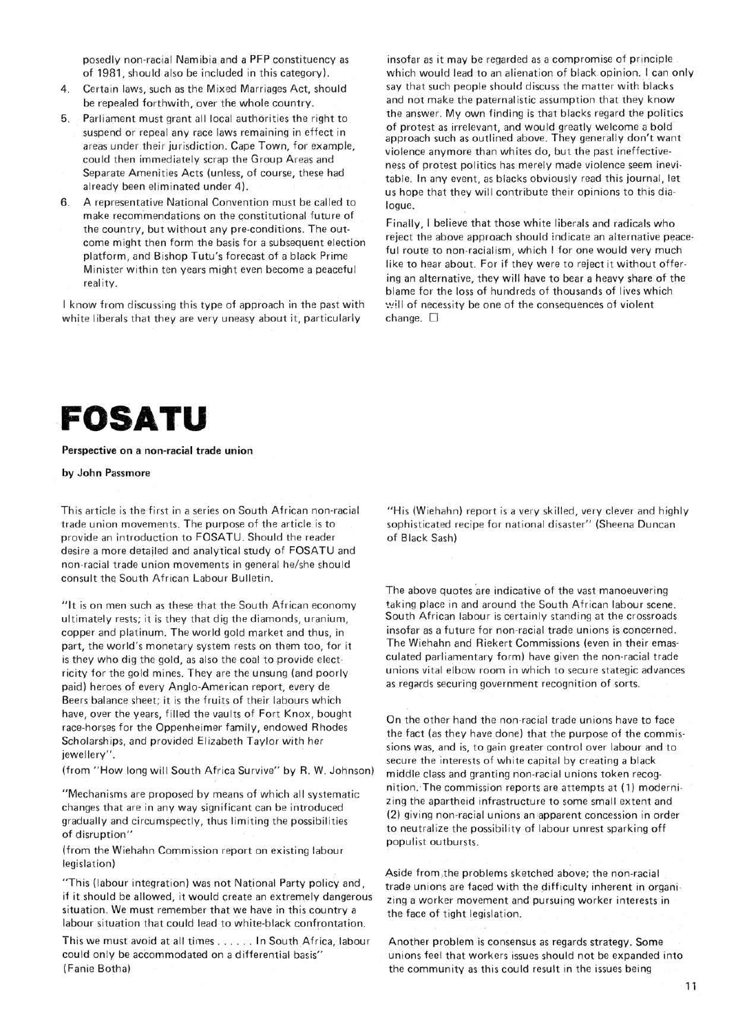posedly non-racial Namibia and a PFP constituency as of 1981, should also be included in this category).

- 4. Certain laws, such as the Mixed Marriages Act, should be repealed forthwith, over the whole country.
- 5. Parliament must grant all local authorities the right to suspend or repeal any race laws remaining in effect in areas under their jurisdiction. Cape Town, for example, could then immediately scrap the Group Areas and Separate Amenities Acts (unless, of course, these had already been eliminated under 4).
- 6. A representative National Convention must be called to make recommendations on the constitutional future of the country, but without any pre-conditions. The outcome might then form the basis for a subsequent election platform, and Bishop Tutu's forecast of a black Prime Minister within ten years might even become a peaceful reality.

I know from discussing this type of approach in the past with white liberals that they are very uneasy about it, particularly

insofar as it may be regarded as a compromise of principle which would lead to an alienation of black opinion. I can only say that such people should discuss the matter with blacks and not make the paternalistic assumption that they know the answer. My own finding is that blacks regard the politics of protest as irrelevant, and would greatly welcome a bold approach such as outlined above. They generally don't want violence anymore than whites do, but the past ineffectiveness of protest politics has merely made violence seem inevitable. In any event, as blacks obviously read this journal, let us hope that they will contribute their opinions to this dialogue.

Finally, I believe that those white liberals and radicals who reject the above approach should indicate an alternative peaceful route to non-racialism, which I for one would very much like to hear about. For if they were to reject it without offering an alternative, they will have to bear a heavy share of the blame for the loss of hundreds of thousands of lives which will of necessity be one of the consequences of violent change.  $\square$ 



**Perspective on a non-racial trade union** 

## **by John Passmore**

This article is the first in a series on South African non-racial trade union movements. The purpose of the article is to provide an introduction to FOSATU. Should the reader desire a more detailed and analytical study of FOSATU and non-racial trade union movements in general he/she should consult the South African Labour Bulletin.

"It is on men such as these that the South African economy ultimately rests; it is they that dig the diamonds, uranium, copper and platinum. The world gold market and thus, in part, the world's monetary system rests on them too, for it is they who dig the gold, as also the coal to provide electricity for the gold mines. They are the unsung (and poorly paid) heroes of every Anglo-American report, every de Beers balance sheet; it is the fruits of their labours which have, over the years, filled the vaults of Fort Knox, bought race-horses for the Oppenheimer family, endowed Rhodes Scholarships, and provided Elizabeth Taylor with her jewellery",

(from "How long will South Africa Survive" by R. W. Johnson)

"Mechanisms are proposed by means of which all systematic changes that are in any way significant can be introduced gradually and circumspectly, thus limiting the possibilities of disruption"

(from the Wiehahn Commission report on existing labour legislation)

"This (labour integration) was not National Party policy and, if it should be allowed, it would create an extremely dangerous situation. We must remember that we have in this country a labour situation that could lead to white-black confrontation.

This we must avoid at all times . . . . . . In South Africa, labour could only be accommodated on a differential basis" (Fanie Botha)

"His (Wiehahn) report is a very skilled, very clever and highly sophisticated recipe for national disaster" (Sheena Duncan of Black Sash)

The above quotes are indicative of the vast manoeuvering taking place in and around the South African labour scene. South African labour is certainly standing at the crossroads insofar as a future for non-racial trade unions is concerned. The Wiehahn and Riekert Commissions (even in their emasculated parliamentary form) have given the non-racial trade unions vital elbow room in which to secure stategic advances as regards securing government recognition of sorts.

On the other hand the non-racial trade unions have to face the fact (as they have done) that the purpose of the commissions was, and is, to gain greater control over labour and to secure the interests of white capital by creating a black middle class and granting non-racial unions token recognition. The commission reports are attempts at (1) modernizing the apartheid infrastructure to some small extent and (2) giving non-racial unions an apparent concession in order to neutralize the possibility of labour unrest sparking off populist outbursts.

Aside from the problems sketched above; the non-racial trade unions are faced with the difficulty inherent in organizing a worker movement and pursuing worker interests in the face of tight legislation.

Another problem is consensus as regards strategy. Some unions feel that workers issues should not be expanded into the community as this could result in the issues being